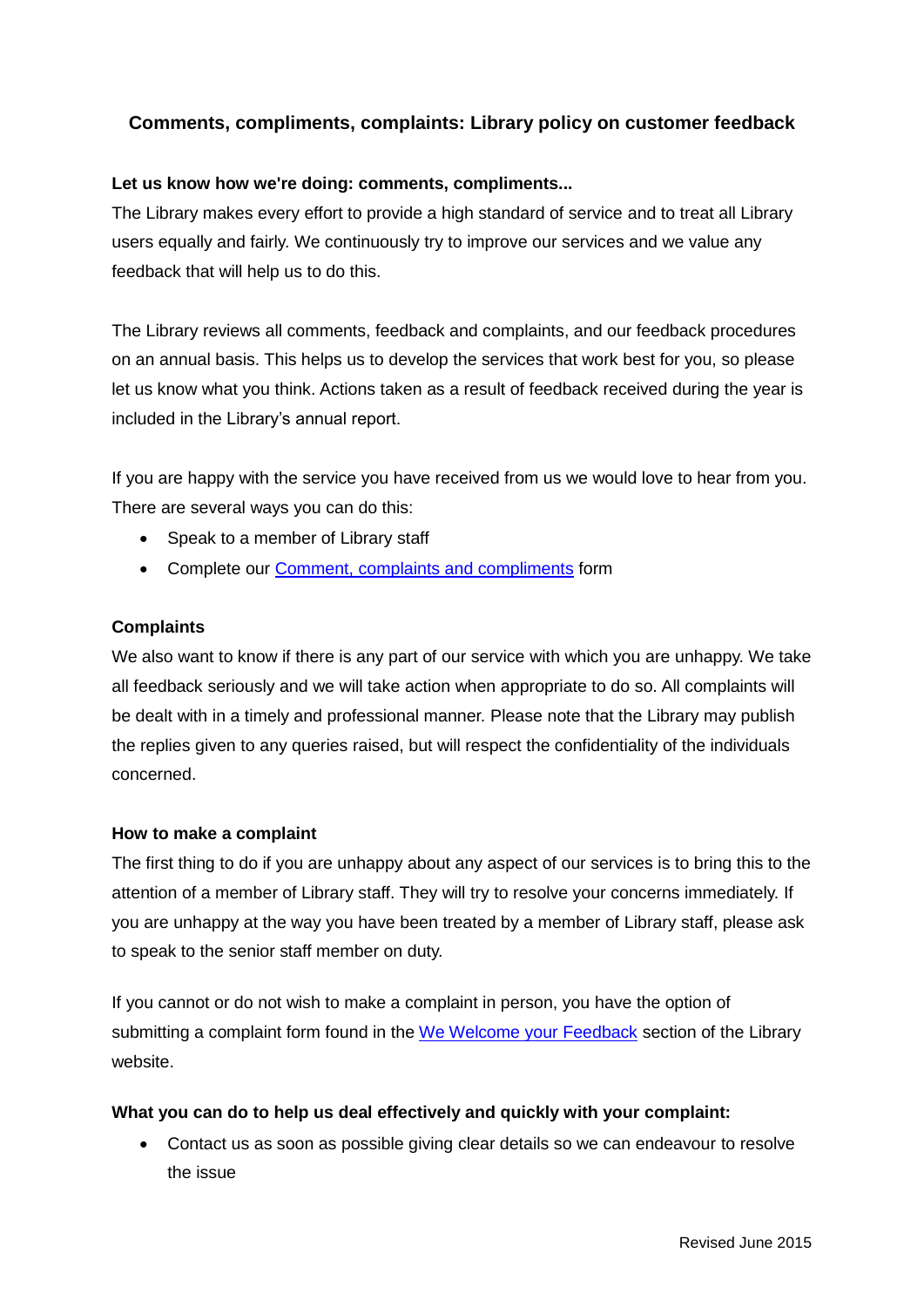## **Comments, compliments, complaints: Library policy on customer feedback**

### **Let us know how we're doing: comments, compliments...**

The Library makes every effort to provide a high standard of service and to treat all Library users equally and fairly. We continuously try to improve our services and we value any feedback that will help us to do this.

The Library reviews all comments, feedback and complaints, and our feedback procedures on an annual basis. This helps us to develop the services that work best for you, so please let us know what you think. Actions taken as a result of feedback received during the year is included in the Library's annual report.

If you are happy with the service you have received from us we would love to hear from you. There are several ways you can do this:

- Speak to a member of Library staff
- Complete our [Comment, complaints and compliments](http://www.qub.ac.uk/directorates/InformationServices/TheLibrary/CustomerService/Doyouhavefeedback/) form

#### **Complaints**

We also want to know if there is any part of our service with which you are unhappy. We take all feedback seriously and we will take action when appropriate to do so. All complaints will be dealt with in a timely and professional manner. Please note that the Library may publish the replies given to any queries raised, but will respect the confidentiality of the individuals concerned.

#### **How to make a complaint**

The first thing to do if you are unhappy about any aspect of our services is to bring this to the attention of a member of Library staff. They will try to resolve your concerns immediately. If you are unhappy at the way you have been treated by a member of Library staff, please ask to speak to the senior staff member on duty.

If you cannot or do not wish to make a complaint in person, you have the option of submitting a complaint form found in the [We Welcome your Feedback](http://www.qub.ac.uk/directorates/InformationServices/TheLibrary/CustomerService/Doyouhavefeedback/) section of the Library website.

#### **What you can do to help us deal effectively and quickly with your complaint:**

 Contact us as soon as possible giving clear details so we can endeavour to resolve the issue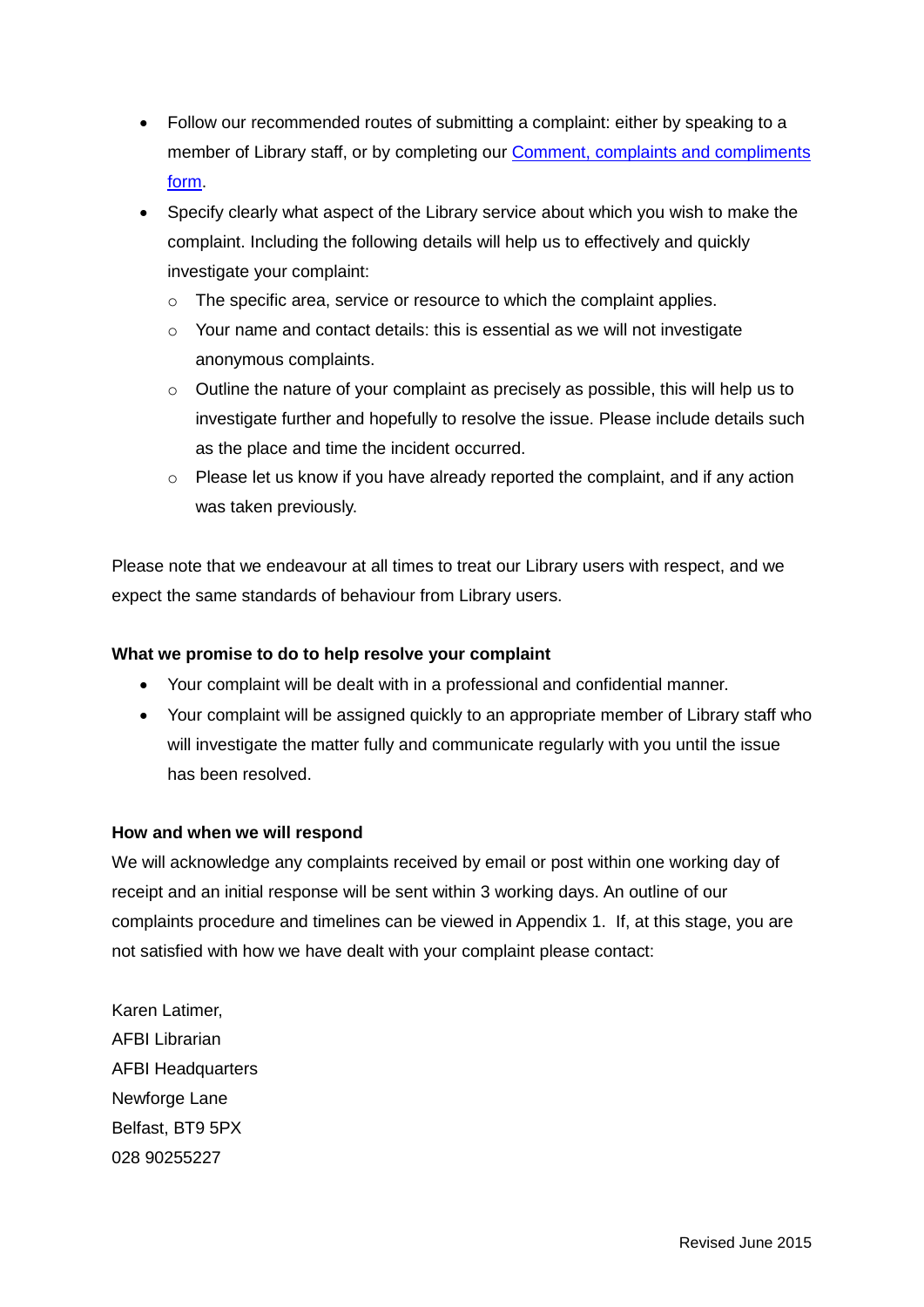- Follow our recommended routes of submitting a complaint: either by speaking to a member of Library staff, or by completing our [Comment, complaints and compliments](http://www.qub.ac.uk/directorates/InformationServices/TheLibrary/CustomerService/Doyouhaveacomplaint/) [form.](http://www.qub.ac.uk/directorates/InformationServices/TheLibrary/CustomerService/Doyouhaveacomplaint/)
- Specify clearly what aspect of the Library service about which you wish to make the complaint. Including the following details will help us to effectively and quickly investigate your complaint:
	- o The specific area, service or resource to which the complaint applies.
	- o Your name and contact details: this is essential as we will not investigate anonymous complaints.
	- o Outline the nature of your complaint as precisely as possible, this will help us to investigate further and hopefully to resolve the issue. Please include details such as the place and time the incident occurred.
	- o Please let us know if you have already reported the complaint, and if any action was taken previously.

Please note that we endeavour at all times to treat our Library users with respect, and we expect the same standards of behaviour from Library users.

### **What we promise to do to help resolve your complaint**

- Your complaint will be dealt with in a professional and confidential manner.
- Your complaint will be assigned quickly to an appropriate member of Library staff who will investigate the matter fully and communicate regularly with you until the issue has been resolved.

#### **How and when we will respond**

We will acknowledge any complaints received by email or post within one working day of receipt and an initial response will be sent within 3 working days. An outline of our complaints procedure and timelines can be viewed in Appendix 1. If, at this stage, you are not satisfied with how we have dealt with your complaint please contact:

Karen Latimer, AFBI Librarian AFBI Headquarters Newforge Lane Belfast, BT9 5PX 028 90255227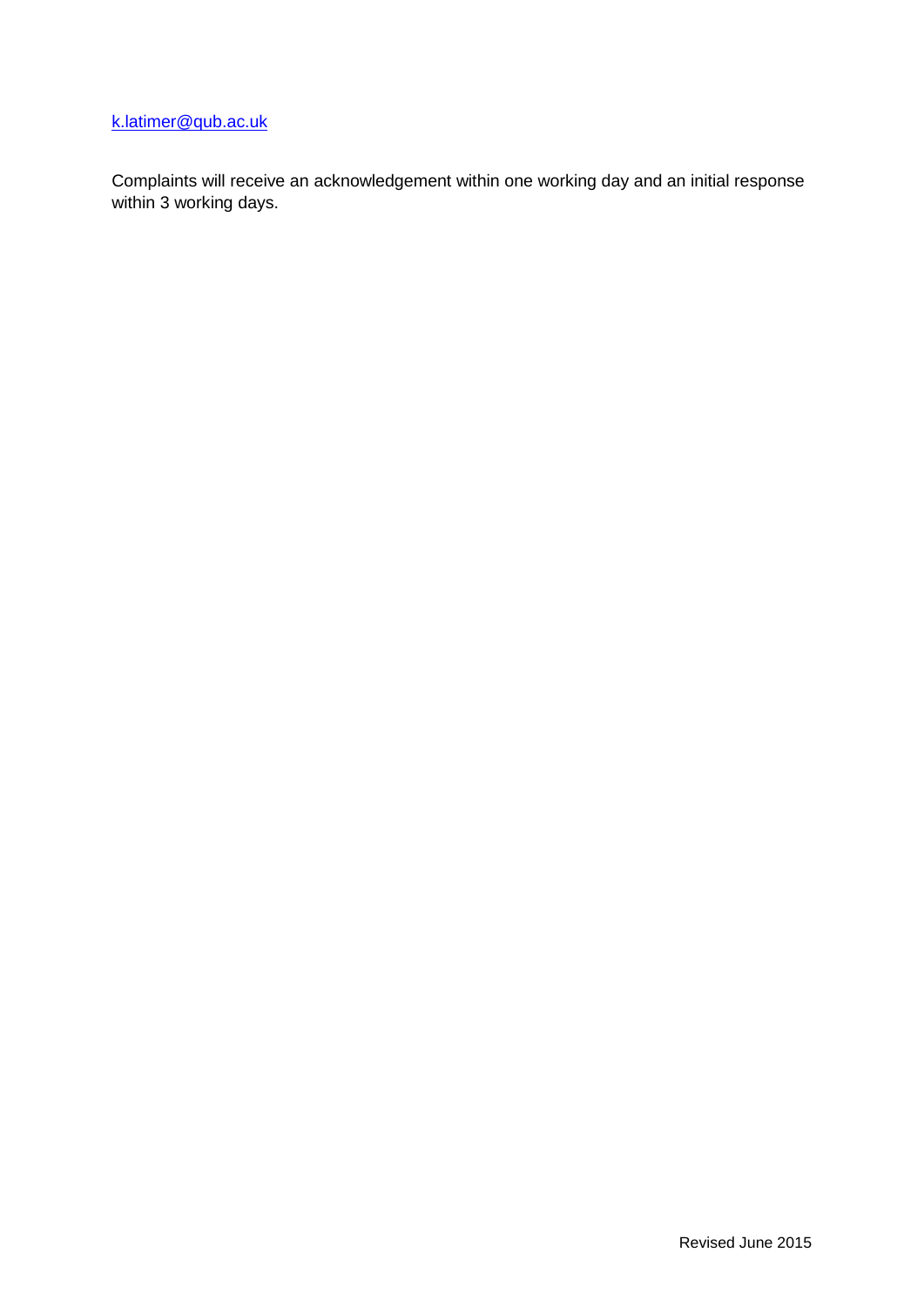# [k.latimer@qub.ac.uk](mailto:k.latimer@qub.ac.uk)

Complaints will receive an acknowledgement within one working day and an initial response within 3 working days.